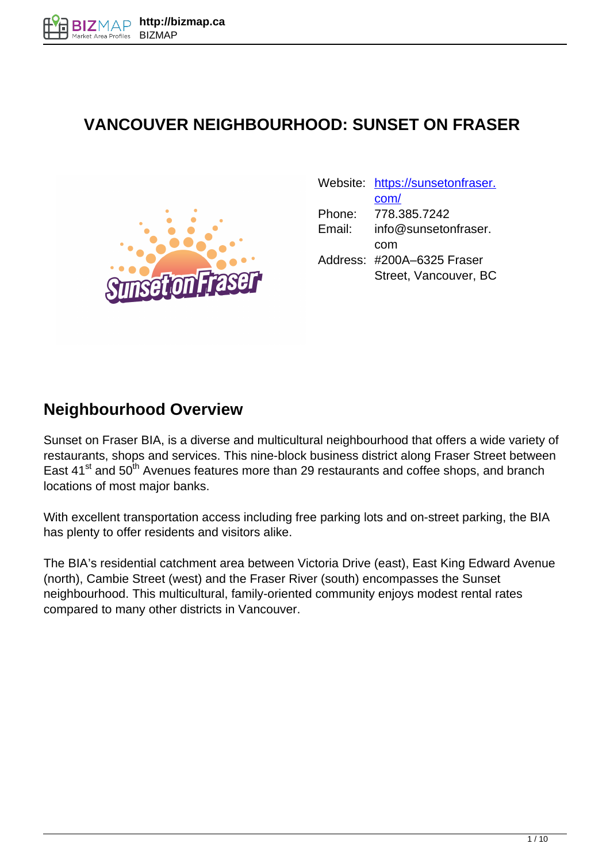## **VANCOUVER NEIGHBOURHOOD: SUNSET ON FRASER**



|        | Website: https://sunsetonfraser. |
|--------|----------------------------------|
|        | com/                             |
| Phone: | 778.385.7242                     |
| Email: | info@sunsetonfraser.             |
|        | com                              |
|        | Address: #200A-6325 Fraser       |
|        | Street, Vancouver, BC            |

#### **Neighbourhood Overview**

Sunset on Fraser BIA, is a diverse and multicultural neighbourhood that offers a wide variety of restaurants, shops and services. This nine-block business district along Fraser Street between East 41<sup>st</sup> and 50<sup>th</sup> Avenues features more than 29 restaurants and coffee shops, and branch locations of most major banks.

With excellent transportation access including free parking lots and on-street parking, the BIA has plenty to offer residents and visitors alike.

The BIA's residential catchment area between Victoria Drive (east), East King Edward Avenue (north), Cambie Street (west) and the Fraser River (south) encompasses the Sunset neighbourhood. This multicultural, family-oriented community enjoys modest rental rates compared to many other districts in Vancouver.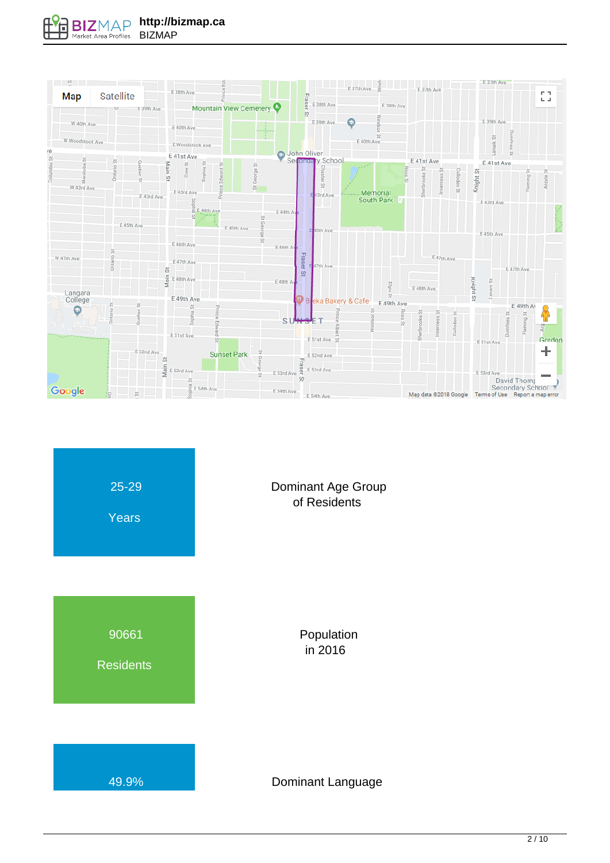



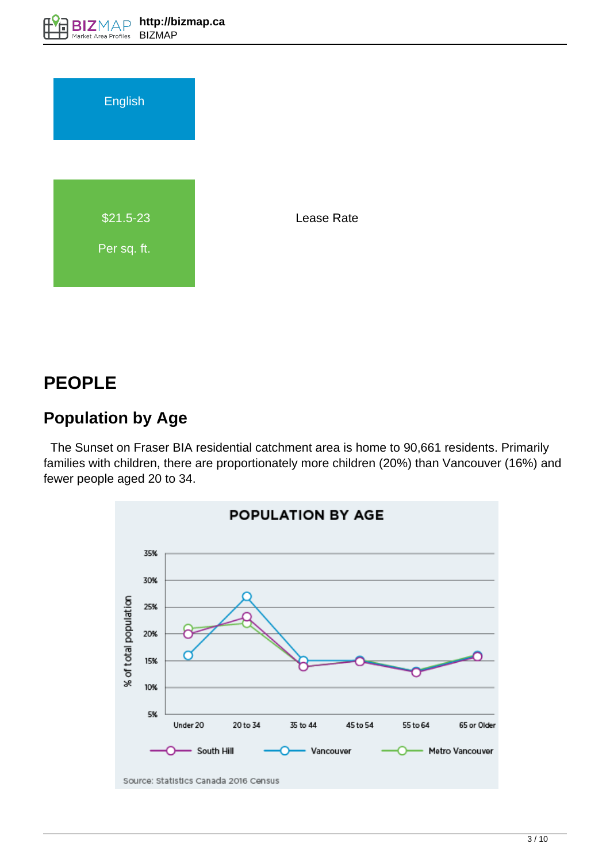

# **PEOPLE**

# **Population by Age**

 The Sunset on Fraser BIA residential catchment area is home to 90,661 residents. Primarily families with children, there are proportionately more children (20%) than Vancouver (16%) and fewer people aged 20 to 34.

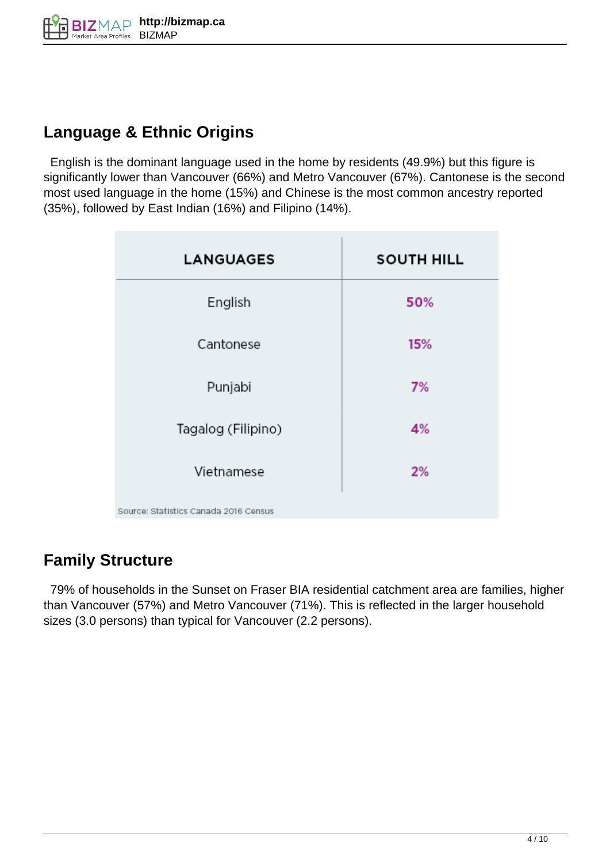## **Language & Ethnic Origins**

 English is the dominant language used in the home by residents (49.9%) but this figure is significantly lower than Vancouver (66%) and Metro Vancouver (67%). Cantonese is the second most used language in the home (15%) and Chinese is the most common ancestry reported (35%), followed by East Indian (16%) and Filipino (14%).

| <b>LANGUAGES</b>                      | <b>SOUTH HILL</b> |
|---------------------------------------|-------------------|
| English                               | 50%               |
| Cantonese                             | 15%               |
| Punjabi                               | 7%                |
| Tagalog (Filipino)                    | 4%                |
| Vietnamese                            | 2%                |
| Source: Statistics Canada 2016 Census |                   |

# **Family Structure**

 79% of households in the Sunset on Fraser BIA residential catchment area are families, higher than Vancouver (57%) and Metro Vancouver (71%). This is reflected in the larger household sizes (3.0 persons) than typical for Vancouver (2.2 persons).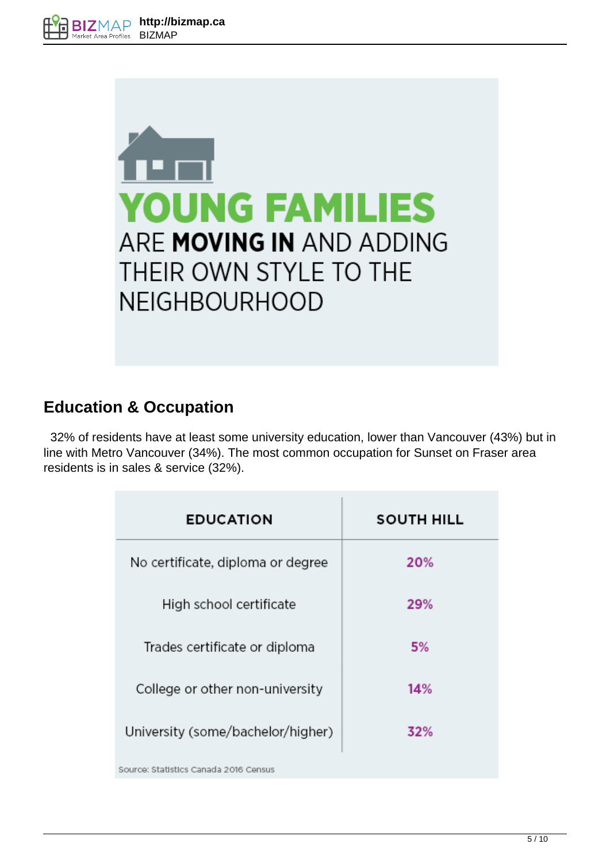

### **Education & Occupation**

 32% of residents have at least some university education, lower than Vancouver (43%) but in line with Metro Vancouver (34%). The most common occupation for Sunset on Fraser area residents is in sales & service (32%).

| <b>EDUCATION</b>                      | <b>SOUTH HILL</b> |
|---------------------------------------|-------------------|
| No certificate, diploma or degree     | 20%               |
| High school certificate               | 29%               |
| Trades certificate or diploma         | 5%                |
| College or other non-university       | 14%               |
| University (some/bachelor/higher)     | 32%               |
| Source: Statistics Canada 2016 Census |                   |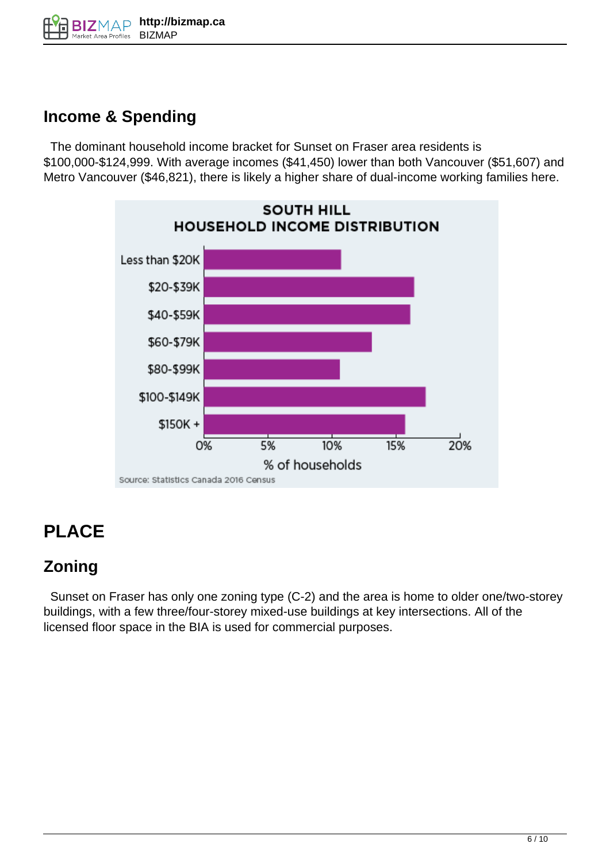# **Income & Spending**

 The dominant household income bracket for Sunset on Fraser area residents is \$100,000-\$124,999. With average incomes (\$41,450) lower than both Vancouver (\$51,607) and Metro Vancouver (\$46,821), there is likely a higher share of dual-income working families here.



# **PLACE**

# **Zoning**

 Sunset on Fraser has only one zoning type (C-2) and the area is home to older one/two-storey buildings, with a few three/four-storey mixed-use buildings at key intersections. All of the licensed floor space in the BIA is used for commercial purposes.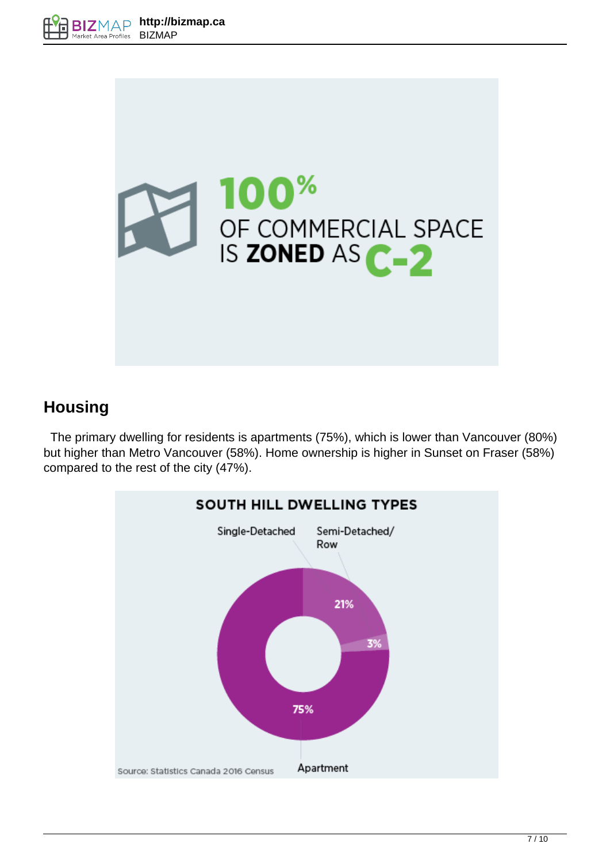



### **Housing**

 The primary dwelling for residents is apartments (75%), which is lower than Vancouver (80%) but higher than Metro Vancouver (58%). Home ownership is higher in Sunset on Fraser (58%) compared to the rest of the city (47%).

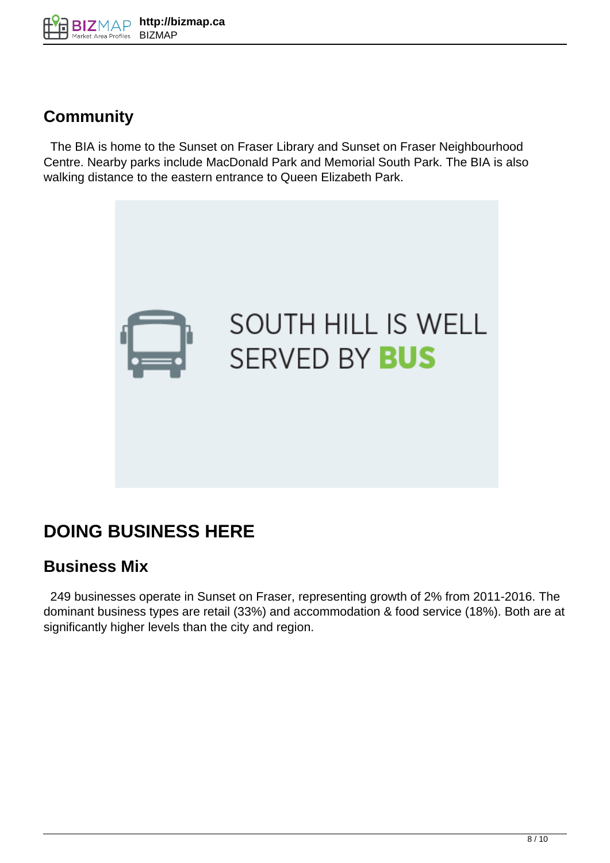

### **Community**

 The BIA is home to the Sunset on Fraser Library and Sunset on Fraser Neighbourhood Centre. Nearby parks include MacDonald Park and Memorial South Park. The BIA is also walking distance to the eastern entrance to Queen Elizabeth Park.



# **DOING BUSINESS HERE**

#### **Business Mix**

 249 businesses operate in Sunset on Fraser, representing growth of 2% from 2011-2016. The dominant business types are retail (33%) and accommodation & food service (18%). Both are at significantly higher levels than the city and region.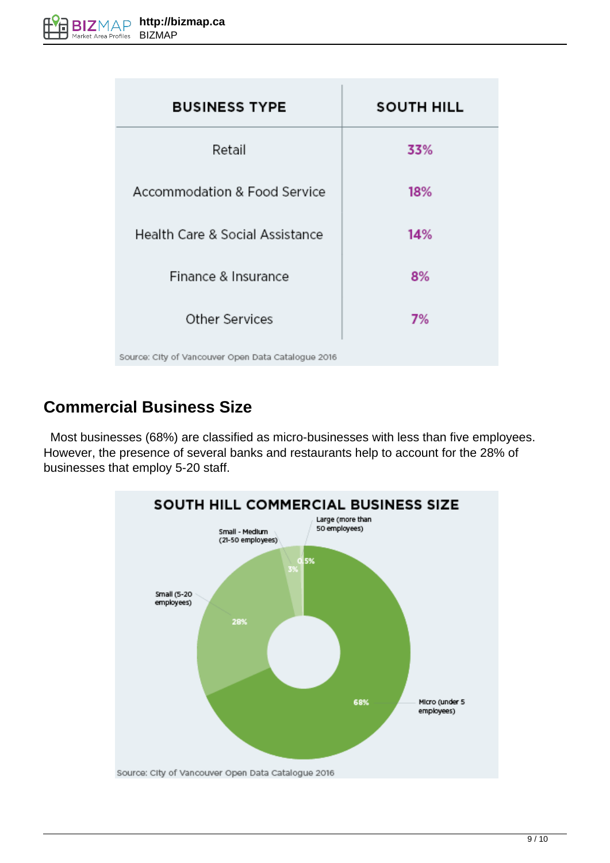| <b>BUSINESS TYPE</b>                               | <b>SOUTH HILL</b> |
|----------------------------------------------------|-------------------|
| Retail                                             | 33%               |
| Accommodation & Food Service                       | 18%               |
| Health Care & Social Assistance                    | 14%               |
| Finance & Insurance                                | 8%                |
| Other Services                                     | 7%                |
| Source: City of Vancouver Open Data Catalogue 2016 |                   |

### **Commercial Business Size**

 Most businesses (68%) are classified as micro-businesses with less than five employees. However, the presence of several banks and restaurants help to account for the 28% of businesses that employ 5-20 staff.